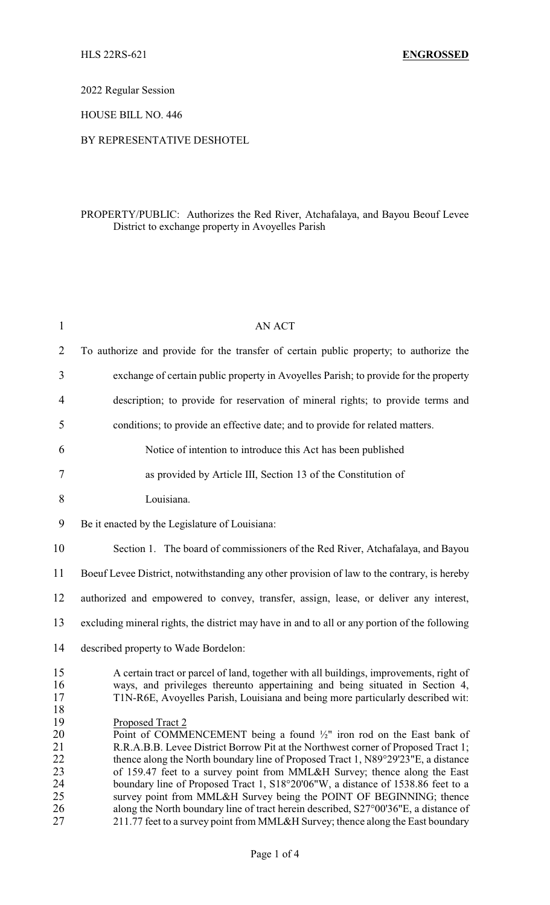2022 Regular Session

HOUSE BILL NO. 446

## BY REPRESENTATIVE DESHOTEL

## PROPERTY/PUBLIC: Authorizes the Red River, Atchafalaya, and Bayou Beouf Levee District to exchange property in Avoyelles Parish

| $\mathbf{1}$                                       | <b>AN ACT</b>                                                                                                                                                                                                                                                                                                                                                                                                                                                                                                                                                                                                                                                                                   |  |  |
|----------------------------------------------------|-------------------------------------------------------------------------------------------------------------------------------------------------------------------------------------------------------------------------------------------------------------------------------------------------------------------------------------------------------------------------------------------------------------------------------------------------------------------------------------------------------------------------------------------------------------------------------------------------------------------------------------------------------------------------------------------------|--|--|
| $\overline{2}$                                     | To authorize and provide for the transfer of certain public property; to authorize the                                                                                                                                                                                                                                                                                                                                                                                                                                                                                                                                                                                                          |  |  |
| 3                                                  | exchange of certain public property in Avoyelles Parish; to provide for the property                                                                                                                                                                                                                                                                                                                                                                                                                                                                                                                                                                                                            |  |  |
| $\overline{4}$                                     | description; to provide for reservation of mineral rights; to provide terms and                                                                                                                                                                                                                                                                                                                                                                                                                                                                                                                                                                                                                 |  |  |
| 5                                                  | conditions; to provide an effective date; and to provide for related matters.                                                                                                                                                                                                                                                                                                                                                                                                                                                                                                                                                                                                                   |  |  |
| 6                                                  | Notice of intention to introduce this Act has been published                                                                                                                                                                                                                                                                                                                                                                                                                                                                                                                                                                                                                                    |  |  |
| 7                                                  | as provided by Article III, Section 13 of the Constitution of                                                                                                                                                                                                                                                                                                                                                                                                                                                                                                                                                                                                                                   |  |  |
| 8                                                  | Louisiana.                                                                                                                                                                                                                                                                                                                                                                                                                                                                                                                                                                                                                                                                                      |  |  |
| 9                                                  | Be it enacted by the Legislature of Louisiana:                                                                                                                                                                                                                                                                                                                                                                                                                                                                                                                                                                                                                                                  |  |  |
| 10                                                 | Section 1. The board of commissioners of the Red River, Atchafalaya, and Bayou                                                                                                                                                                                                                                                                                                                                                                                                                                                                                                                                                                                                                  |  |  |
| 11                                                 | Boeuf Levee District, notwithstanding any other provision of law to the contrary, is hereby                                                                                                                                                                                                                                                                                                                                                                                                                                                                                                                                                                                                     |  |  |
| 12                                                 | authorized and empowered to convey, transfer, assign, lease, or deliver any interest,                                                                                                                                                                                                                                                                                                                                                                                                                                                                                                                                                                                                           |  |  |
| 13                                                 | excluding mineral rights, the district may have in and to all or any portion of the following                                                                                                                                                                                                                                                                                                                                                                                                                                                                                                                                                                                                   |  |  |
| 14                                                 | described property to Wade Bordelon:                                                                                                                                                                                                                                                                                                                                                                                                                                                                                                                                                                                                                                                            |  |  |
| 15<br>16<br>17<br>18                               | A certain tract or parcel of land, together with all buildings, improvements, right of<br>ways, and privileges thereunto appertaining and being situated in Section 4,<br>T1N-R6E, Avoyelles Parish, Louisiana and being more particularly described wit:                                                                                                                                                                                                                                                                                                                                                                                                                                       |  |  |
| 19<br>20<br>21<br>22<br>23<br>24<br>25<br>26<br>27 | Proposed Tract 2<br>Point of COMMENCEMENT being a found $\frac{1}{2}$ " iron rod on the East bank of<br>R.R.A.B.B. Levee District Borrow Pit at the Northwest corner of Proposed Tract 1;<br>thence along the North boundary line of Proposed Tract 1, N89°29'23"E, a distance<br>of 159.47 feet to a survey point from MML&H Survey; thence along the East<br>boundary line of Proposed Tract 1, S18°20'06"W, a distance of 1538.86 feet to a<br>survey point from MML&H Survey being the POINT OF BEGINNING; thence<br>along the North boundary line of tract herein described, S27°00'36"E, a distance of<br>211.77 feet to a survey point from MML&H Survey; thence along the East boundary |  |  |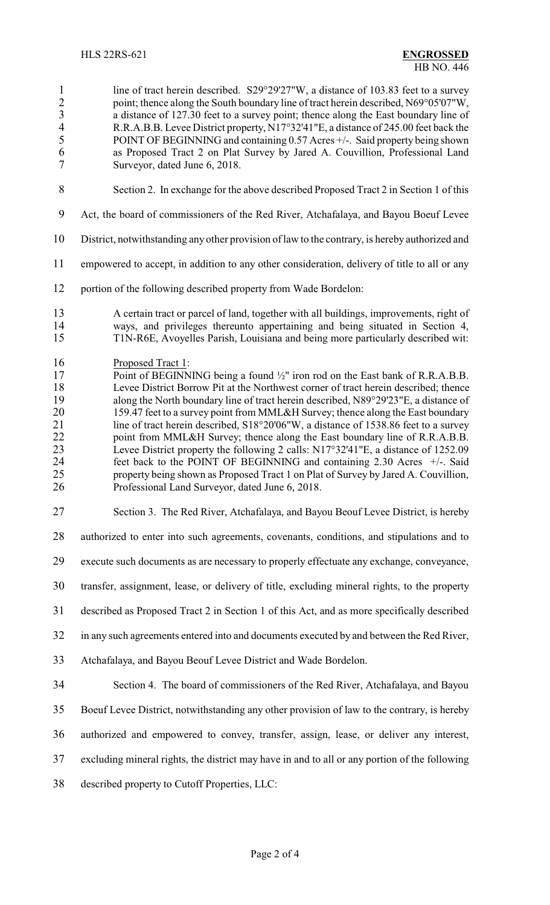1 line of tract herein described. S29°29'27"W, a distance of 103.83 feet to a survey 2 point; thence along the South boundary line of tract herein described, N69°05'07"W,<br>a distance of 127.30 feet to a survey point: thence along the East boundary line of 3 a distance of 127.30 feet to a survey point; thence along the East boundary line of R.R.A.B.B. Levee District property. N17°32'41"E. a distance of 245.00 feet back the 4 R.R.A.B.B. Levee District property, N17°32'41"E, a distance of 245.00 feet back the POINT OF BEGINNING and containing 0.57 Acres +/-. Said property being shown POINT OF BEGINNING and containing 0.57 Acres +/-. Said property being shown as Proposed Tract 2 on Plat Survey by Jared A. Couvillion, Professional Land Surveyor, dated June 6, 2018.

- Section 2. In exchange for the above described Proposed Tract 2 in Section 1 of this
- Act, the board of commissioners of the Red River, Atchafalaya, and Bayou Boeuf Levee
- District, notwithstanding any other provision of law to the contrary, is hereby authorized and
- empowered to accept, in addition to any other consideration, delivery of title to all or any
- portion of the following described property from Wade Bordelon:
- A certain tract or parcel of land, together with all buildings, improvements, right of ways, and privileges thereunto appertaining and being situated in Section 4, T1N-R6E, Avoyelles Parish, Louisiana and being more particularly described wit:
- 16 Proposed Tract 1:<br>17 Point of BEGINN
- 17 Point of BEGINNING being a found <sup>1</sup>/<sub>2</sub>" iron rod on the East bank of R.R.A.B.B.<br>18 Levee District Borrow Pit at the Northwest corner of tract herein described; thence 18 Levee District Borrow Pit at the Northwest corner of tract herein described; thence along the North boundary line of tract herein described, N89°29'23"E, a distance of along the North boundary line of tract herein described, N89°29'23"E, a distance of 20 159.47 feet to a survey point from MML&H Survey; thence along the East boundary<br>21 ine of tract herein described,  $S18^{\circ}20'06''W$ , a distance of 1538.86 feet to a survey line of tract herein described, S18°20'06"W, a distance of 1538.86 feet to a survey 22 point from MML&H Survey; thence along the East boundary line of R.R.A.B.B. Levee District property the following 2 calls: N17°32'41"E, a distance of 1252.09 feet back to the POINT OF BEGINNING and containing 2.30 Acres +/-. Said 25 property being shown as Proposed Tract 1 on Plat of Survey by Jared A. Couvillion,<br>26 Professional Land Surveyor, dated June 6, 2018. Professional Land Surveyor, dated June 6, 2018.
- Section 3. The Red River, Atchafalaya, and Bayou Beouf Levee District, is hereby
- authorized to enter into such agreements, covenants, conditions, and stipulations and to
- execute such documents as are necessary to properly effectuate any exchange, conveyance,
- transfer, assignment, lease, or delivery of title, excluding mineral rights, to the property
- described as Proposed Tract 2 in Section 1 of this Act, and as more specifically described
- in any such agreements entered into and documents executed by and between the Red River,
- Atchafalaya, and Bayou Beouf Levee District and Wade Bordelon.
- Section 4. The board of commissioners of the Red River, Atchafalaya, and Bayou
- Boeuf Levee District, notwithstanding any other provision of law to the contrary, is hereby
- authorized and empowered to convey, transfer, assign, lease, or deliver any interest,
- excluding mineral rights, the district may have in and to all or any portion of the following
- described property to Cutoff Properties, LLC: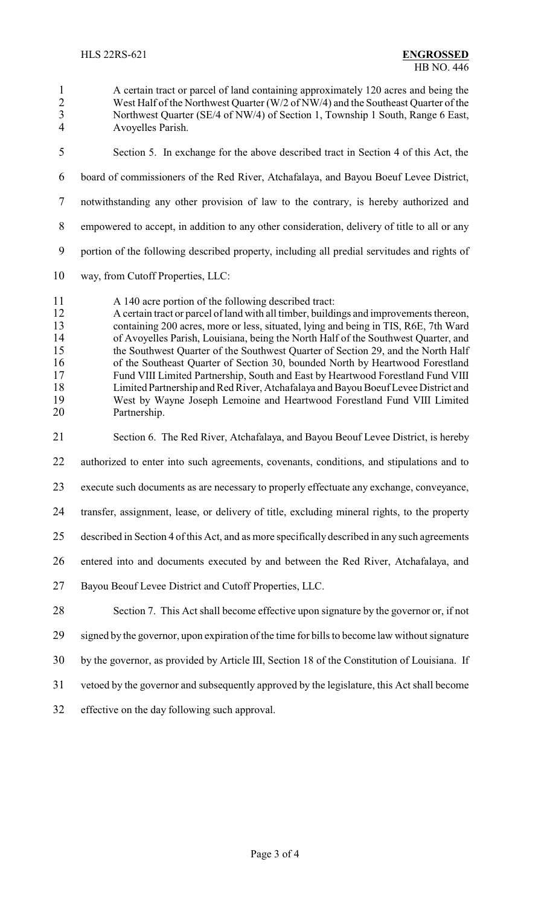- A certain tract or parcel of land containing approximately 120 acres and being the 2 West Half of the Northwest Quarter (W/2 of NW/4) and the Southeast Quarter of the<br>3 Northwest Quarter (SE/4 of NW/4) of Section 1. Township 1 South, Range 6 East, 3 Northwest Quarter (SE/4 of NW/4) of Section 1, Township 1 South, Range 6 East,<br>4 Avovelles Parish Avoyelles Parish. Section 5. In exchange for the above described tract in Section 4 of this Act, the board of commissioners of the Red River, Atchafalaya, and Bayou Boeuf Levee District, notwithstanding any other provision of law to the contrary, is hereby authorized and empowered to accept, in addition to any other consideration, delivery of title to all or any portion of the following described property, including all predial servitudes and rights of way, from Cutoff Properties, LLC: A 140 acre portion of the following described tract: A certain tract or parcel of land with all timber, buildings and improvements thereon, containing 200 acres, more or less, situated, lying and being in TIS, R6E, 7th Ward 14 of Avoyelles Parish, Louisiana, being the North Half of the Southwest Quarter, and<br>15 the Southwest Quarter of the Southwest Quarter of Section 29, and the North Half the Southwest Quarter of the Southwest Quarter of Section 29, and the North Half 16 of the Southeast Quarter of Section 30, bounded North by Heartwood Forestland<br>17 Fund VIII Limited Partnership, South and East by Heartwood Forestland Fund VIII 17 Fund VIII Limited Partnership, South and East by Heartwood Forestland Fund VIII<br>18 Limited Partnership and Red River, Atchafalaya and Bayou Boeuf Levee District and 18 Limited Partnership and Red River, Atchafalaya and Bayou Boeuf Levee District and<br>19 West by Wayne Joseph Lemoine and Heartwood Forestland Fund VIII Limited West by Wayne Joseph Lemoine and Heartwood Forestland Fund VIII Limited Partnership. Section 6. The Red River, Atchafalaya, and Bayou Beouf Levee District, is hereby authorized to enter into such agreements, covenants, conditions, and stipulations and to execute such documents as are necessary to properly effectuate any exchange, conveyance, transfer, assignment, lease, or delivery of title, excluding mineral rights, to the property described in Section 4 of this Act, and as more specifically described in any such agreements entered into and documents executed by and between the Red River, Atchafalaya, and Bayou Beouf Levee District and Cutoff Properties, LLC. Section 7. This Act shall become effective upon signature by the governor or, if not signed by the governor, upon expiration of the time for bills to become law without signature by the governor, as provided by Article III, Section 18 of the Constitution of Louisiana. If vetoed by the governor and subsequently approved by the legislature, this Act shall become
- effective on the day following such approval.